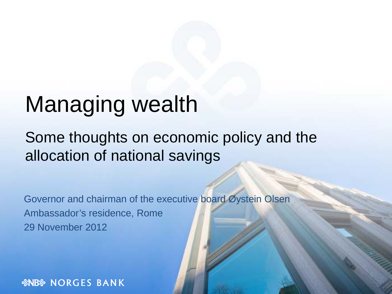# Managing wealth

### Some thoughts on economic policy and the allocation of national savings

Governor and chairman of the executive board Øystein Olsen Ambassador's residence, Rome 29 November 2012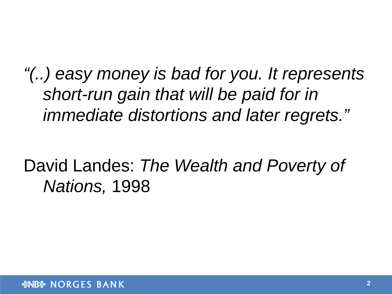*"(..) easy money is bad for you. It represents short-run gain that will be paid for in immediate distortions and later regrets."*

## David Landes: *The Wealth and Poverty of Nations,* 1998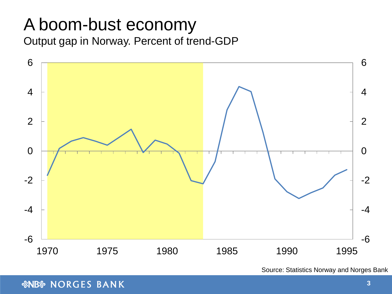### A boom-bust economy Output gap in Norway. Percent of trend-GDP



Source: Statistics Norway and Norges Bank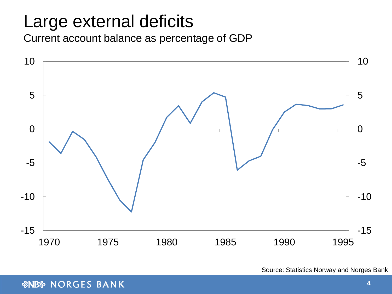## Large external deficits

Current account balance as percentage of GDP



Source: Statistics Norway and Norges Bank

*SNBS* NORGES BANK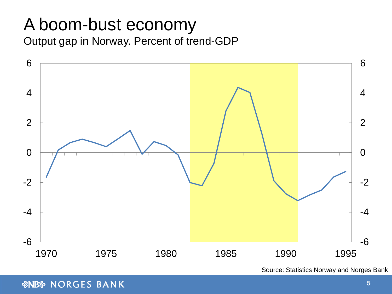### A boom-bust economy Output gap in Norway. Percent of trend-GDP



Source: Statistics Norway and Norges Bank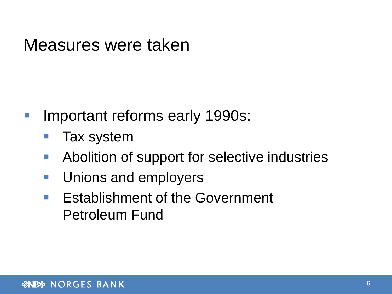### Measures were taken

- **Important reforms early 1990s:** 
	- Tax system
	- **Abolition of support for selective industries**
	- **Unions and employers**
	- **Establishment of the Government** Petroleum Fund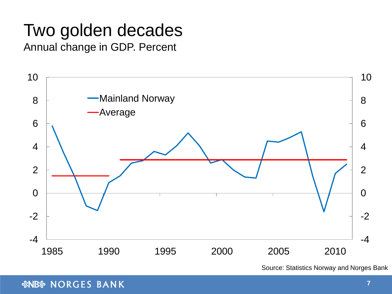### Two golden decades Annual change in GDP. Percent



Source: Statistics Norway and Norges Bank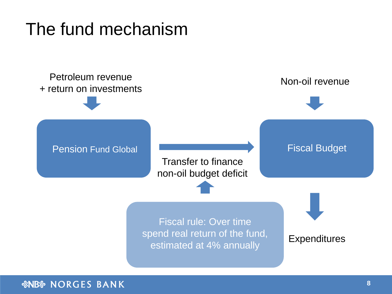## The fund mechanism

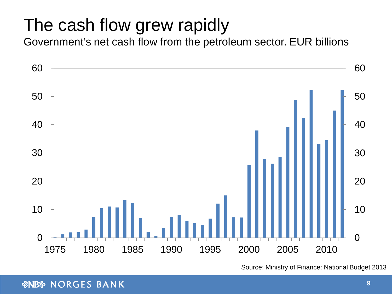## The cash flow grew rapidly

Government's net cash flow from the petroleum sector. EUR billions



Source: Ministry of Finance: National Budget 2013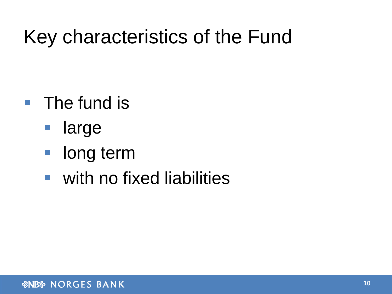# Key characteristics of the Fund

- **The fund is** 
	- **Large**
	- **long term**
	- with no fixed liabilities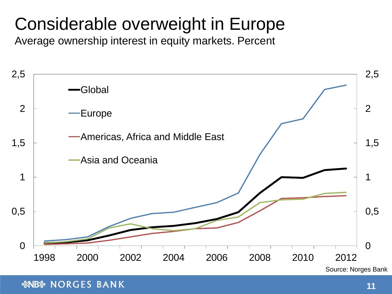## Considerable overweight in Europe

Average ownership interest in equity markets. Percent

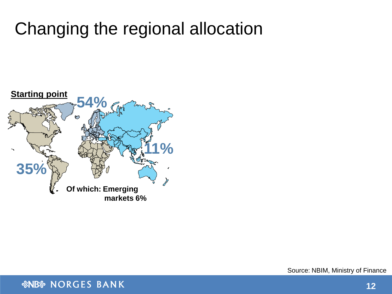## Changing the regional allocation

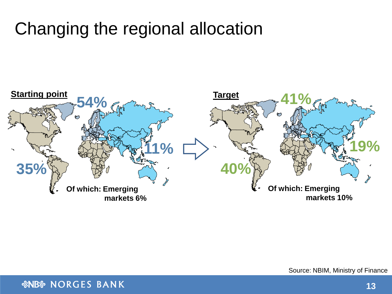## Changing the regional allocation



Source: NBIM, Ministry of Finance

*SNBS* NORGES BANK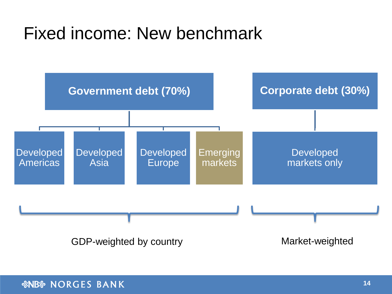## Fixed income: New benchmark